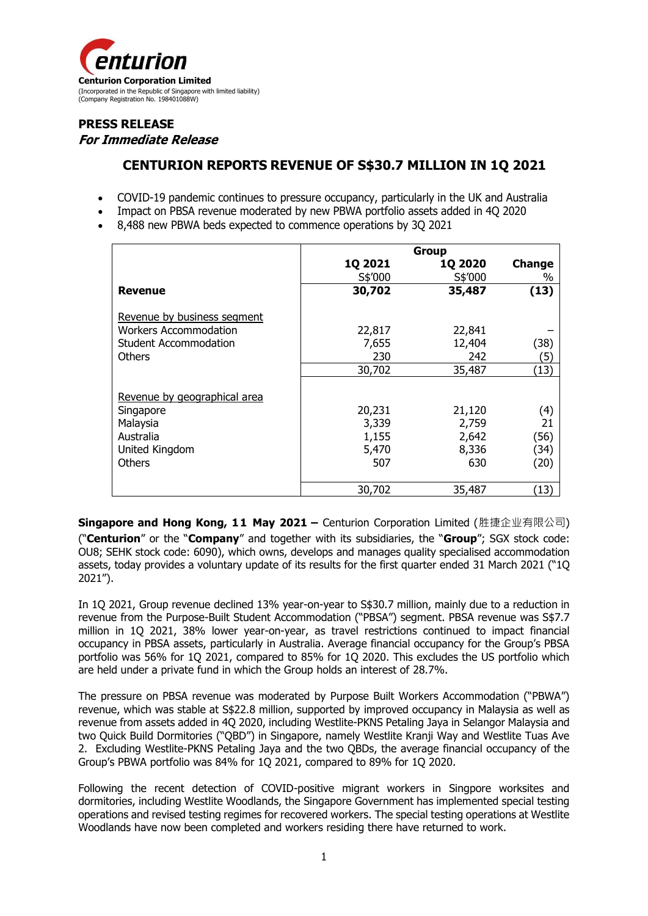

# **PRESS RELEASE For Immediate Release**

# **CENTURION REPORTS REVENUE OF S\$30.7 MILLION IN 1Q 2021**

- COVID-19 pandemic continues to pressure occupancy, particularly in the UK and Australia
- Impact on PBSA revenue moderated by new PBWA portfolio assets added in 4Q 2020
- 8,488 new PBWA beds expected to commence operations by 3Q 2021

|                              | Group   |                |               |
|------------------------------|---------|----------------|---------------|
|                              | 1Q 2021 | <b>1Q 2020</b> | <b>Change</b> |
|                              | S\$'000 | S\$'000        | %             |
| <b>Revenue</b>               | 30,702  | 35,487         | (13)          |
| Revenue by business segment  |         |                |               |
| Workers Accommodation        | 22,817  | 22,841         |               |
| <b>Student Accommodation</b> | 7,655   | 12,404         | (38)          |
| <b>Others</b>                | 230     | 242            | (5)           |
|                              | 30,702  | 35,487         | (13)          |
| Revenue by geographical area |         |                |               |
| Singapore                    | 20,231  | 21,120         | (4)           |
| Malaysia                     | 3,339   | 2,759          | 21            |
| Australia                    | 1,155   | 2,642          | (56)          |
| United Kingdom               | 5,470   | 8,336          | (34)          |
| <b>Others</b>                | 507     | 630            | (20)          |
|                              |         |                |               |
|                              | 30,702  | 35,487         | (13)          |

**Singapore and Hong Kong, 11 May 2021 –** Centurion Corporation Limited (胜捷企业有限公司) ("**Centurion**" or the "**Company**" and together with its subsidiaries, the "**Group**"; SGX stock code: OU8; SEHK stock code: 6090), which owns, develops and manages quality specialised accommodation assets, today provides a voluntary update of its results for the first quarter ended 31 March 2021 ("1Q 2021").

In 1Q 2021, Group revenue declined 13% year-on-year to S\$30.7 million, mainly due to a reduction in revenue from the Purpose-Built Student Accommodation ("PBSA") segment. PBSA revenue was S\$7.7 million in 1Q 2021, 38% lower year-on-year, as travel restrictions continued to impact financial occupancy in PBSA assets, particularly in Australia. Average financial occupancy for the Group's PBSA portfolio was 56% for 1Q 2021, compared to 85% for 1Q 2020. This excludes the US portfolio which are held under a private fund in which the Group holds an interest of 28.7%.

The pressure on PBSA revenue was moderated by Purpose Built Workers Accommodation ("PBWA") revenue, which was stable at S\$22.8 million, supported by improved occupancy in Malaysia as well as revenue from assets added in 4Q 2020, including Westlite-PKNS Petaling Jaya in Selangor Malaysia and two Quick Build Dormitories ("QBD") in Singapore, namely Westlite Kranji Way and Westlite Tuas Ave 2. Excluding Westlite-PKNS Petaling Jaya and the two QBDs, the average financial occupancy of the Group's PBWA portfolio was 84% for 1Q 2021, compared to 89% for 1Q 2020.

Following the recent detection of COVID-positive migrant workers in Singpore worksites and dormitories, including Westlite Woodlands, the Singapore Government has implemented special testing operations and revised testing regimes for recovered workers. The special testing operations at Westlite Woodlands have now been completed and workers residing there have returned to work.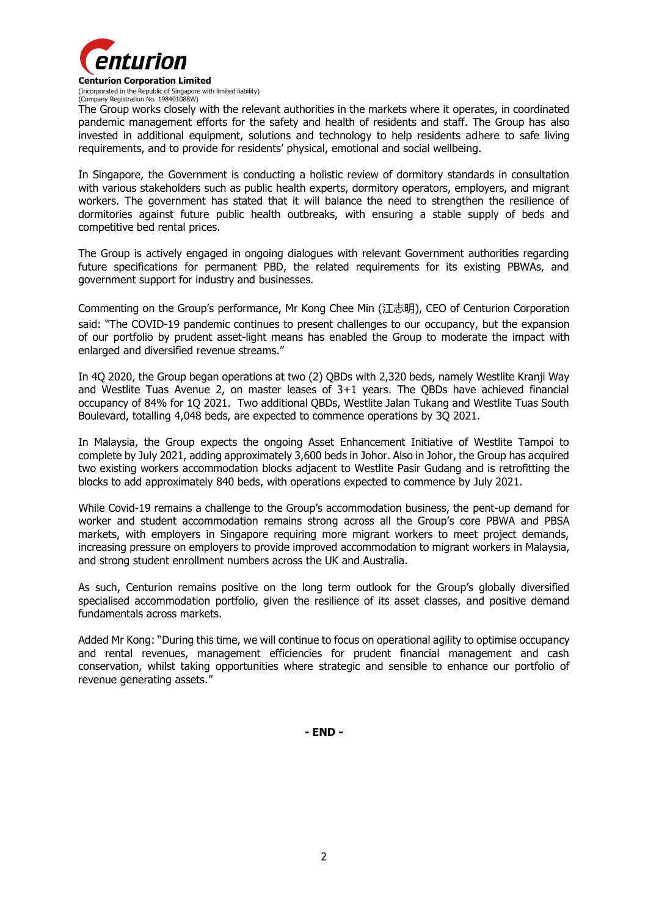

(Company Registration No. 198401088W) The Group works closely with the relevant authorities in the markets where it operates, in coordinated pandemic management efforts for the safety and health of residents and staff. The Group has also invested in additional equipment, solutions and technology to help residents adhere to safe living requirements, and to provide for residents' physical, emotional and social wellbeing.

In Singapore, the Government is conducting a holistic review of dormitory standards in consultation with various stakeholders such as public health experts, dormitory operators, employers, and migrant workers. The government has stated that it will balance the need to strengthen the resilience of dormitories against future public health outbreaks, with ensuring a stable supply of beds and competitive bed rental prices.

The Group is actively engaged in ongoing dialogues with relevant Government authorities regarding future specifications for permanent PBD, the related requirements for its existing PBWAs, and government support for industry and businesses.

Commenting on the Group's performance, Mr Kong Chee Min (江志明), CEO of Centurion Corporation said: "The COVID-19 pandemic continues to present challenges to our occupancy, but the expansion of our portfolio by prudent asset-light means has enabled the Group to moderate the impact with enlarged and diversified revenue streams."

In 4Q 2020, the Group began operations at two (2) QBDs with 2,320 beds, namely Westlite Kranji Way and Westlite Tuas Avenue 2, on master leases of 3+1 years. The QBDs have achieved financial occupancy of 84% for 1Q 2021. Two additional QBDs, Westlite Jalan Tukang and Westlite Tuas South Boulevard, totalling 4,048 beds, are expected to commence operations by 3Q 2021.

In Malaysia, the Group expects the ongoing Asset Enhancement Initiative of Westlite Tampoi to complete by July 2021, adding approximately 3,600 beds in Johor. Also in Johor, the Group has acquired two existing workers accommodation blocks adjacent to Westlite Pasir Gudang and is retrofitting the blocks to add approximately 840 beds, with operations expected to commence by July 2021.

While Covid-19 remains a challenge to the Group's accommodation business, the pent-up demand for worker and student accommodation remains strong across all the Group's core PBWA and PBSA markets, with employers in Singapore requiring more migrant workers to meet project demands, increasing pressure on employers to provide improved accommodation to migrant workers in Malaysia, and strong student enrollment numbers across the UK and Australia.

As such, Centurion remains positive on the long term outlook for the Group's globally diversified specialised accommodation portfolio, given the resilience of its asset classes, and positive demand fundamentals across markets.

Added Mr Kong: "During this time, we will continue to focus on operational agility to optimise occupancy and rental revenues, management efficiencies for prudent financial management and cash conservation, whilst taking opportunities where strategic and sensible to enhance our portfolio of revenue generating assets."

**- END -**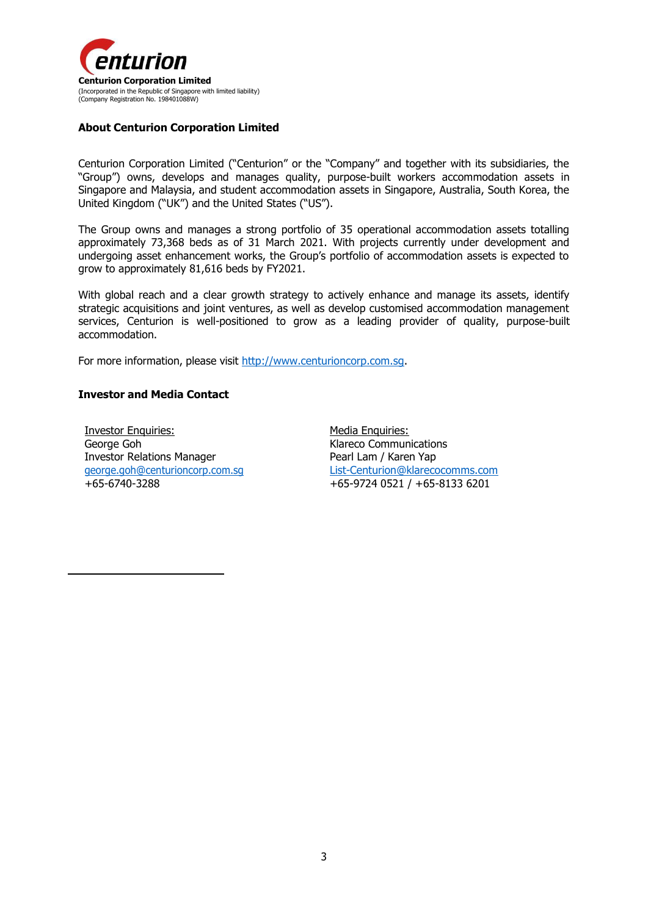

### **About Centurion Corporation Limited**

Centurion Corporation Limited ("Centurion" or the "Company" and together with its subsidiaries, the "Group") owns, develops and manages quality, purpose-built workers accommodation assets in Singapore and Malaysia, and student accommodation assets in Singapore, Australia, South Korea, the United Kingdom ("UK") and the United States ("US").

The Group owns and manages a strong portfolio of 35 operational accommodation assets totalling approximately 73,368 beds as of 31 March 2021. With projects currently under development and undergoing asset enhancement works, the Group's portfolio of accommodation assets is expected to grow to approximately 81,616 beds by FY2021.

With global reach and a clear growth strategy to actively enhance and manage its assets, identify strategic acquisitions and joint ventures, as well as develop customised accommodation management services, Centurion is well-positioned to grow as a leading provider of quality, purpose-built accommodation.

For more information, please visit [http://www.centurioncorp.com.sg.](http://www.centurioncorp.com.sg/)

### **Investor and Media Contact**

Investor Enquiries: George Goh Investor Relations Manager [george.goh@centurioncorp.com.sg](mailto:george.goh@centurioncorp.com.sg) +65-6740-3288

Media Enquiries: Klareco Communications Pearl Lam / Karen Yap [List-Centurion@klarecocomms.com](mailto:List-Centurion@klarecocomms.com) +65-9724 0521 / +65-8133 6201